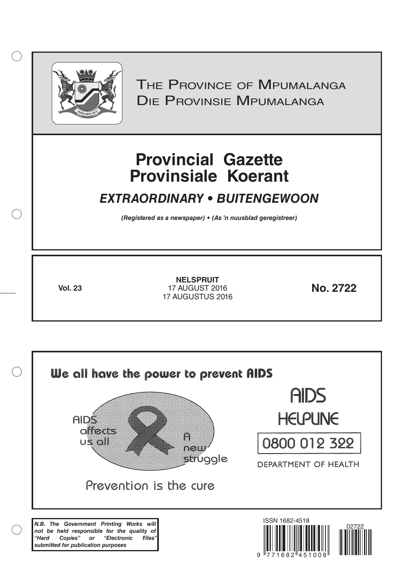

 $( )$ 

THE PROVINCE OF MPUMALANGA Die Provinsie Mpumalanga

# **Provincial Gazette Provinsiale Koerant**

# *EXTRAORDINARY • BUITENGEWOON*

*(Registered as a newspaper) • (As 'n nuusblad geregistreer)*

**Vol. 23 No. 2722** 17 AUGUST 2016 **NELSPRUIT** 17 AUGUSTUS 2016

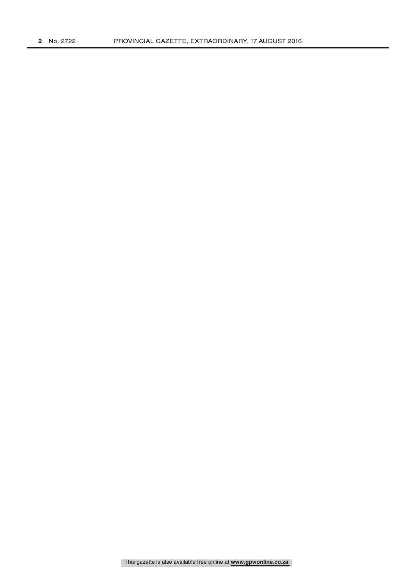This gazette is also available free online at **www.gpwonline.co.za**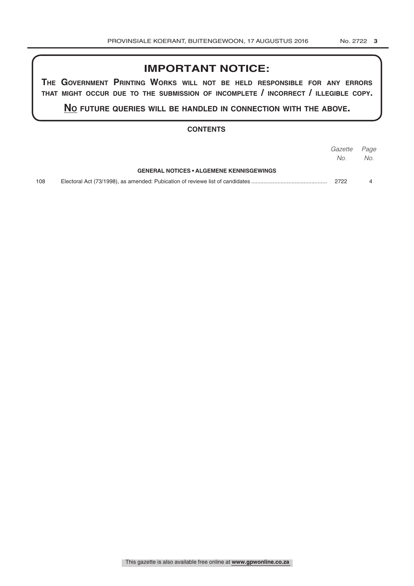### **IMPORTANT NOTICE:**

**The GovernmenT PrinTinG Works Will noT be held resPonsible for any errors ThaT miGhT occur due To The submission of incomPleTe / incorrecT / illeGible coPy.**

**no fuTure queries Will be handled in connecTion WiTh The above.**

#### **CONTENTS**

|     |                                                 | <i>Gazette Page</i> |     |
|-----|-------------------------------------------------|---------------------|-----|
|     |                                                 | No.                 | No. |
|     | <b>GENERAL NOTICES • ALGEMENE KENNISGEWINGS</b> |                     |     |
| 108 |                                                 |                     |     |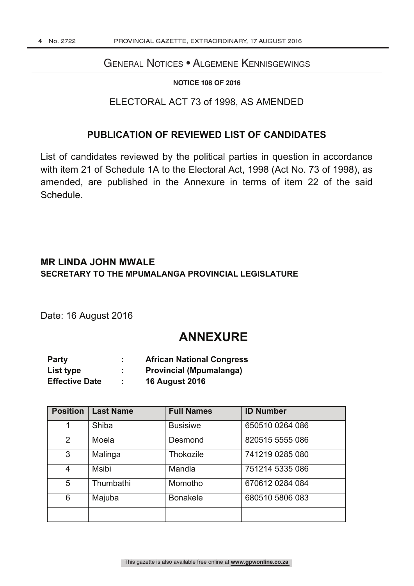#### General Notices • Algemene Kennisgewings

#### **NOTICE 108 OF 2016**

#### ELECTORAL ACT 73 of 1998, AS AMENDED

#### **PUBLICATION OF REVIEWED LIST OF CANDIDATES**

List of candidates reviewed by the political parties in question in accordance with item 21 of Schedule 1A to the Electoral Act, 1998 (Act No. 73 of 1998), as amended, are published in the Annexure in terms of item 22 of the said Schedule.

#### **MR LINDA JOHN MWALE SECRETARY TO THE MPUMALANGA PROVINCIAL LEGISLATURE**

Date: 16 August 2016

## **ANNEXURE**

| <b>Party</b>          |   | <b>African National Congress</b> |
|-----------------------|---|----------------------------------|
| List type             |   | <b>Provincial (Mpumalanga)</b>   |
| <b>Effective Date</b> | ÷ | <b>16 August 2016</b>            |

| <b>Position</b> | Last Name    | <b>Full Names</b> | <b>ID Number</b> |
|-----------------|--------------|-------------------|------------------|
| 1               | Shiba        | <b>Busisiwe</b>   | 650510 0264 086  |
| 2               | Moela        | Desmond           | 820515 5555 086  |
| 3               | Malinga      | <b>Thokozile</b>  | 741219 0285 080  |
| 4               | <b>Msibi</b> | Mandla            | 751214 5335 086  |
| 5               | Thumbathi    | Momotho           | 670612 0284 084  |
| 6               | Majuba       | <b>Bonakele</b>   | 680510 5806 083  |
|                 |              |                   |                  |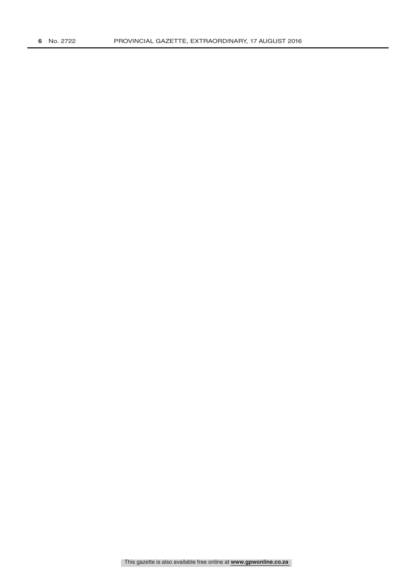This gazette is also available free online at **www.gpwonline.co.za**